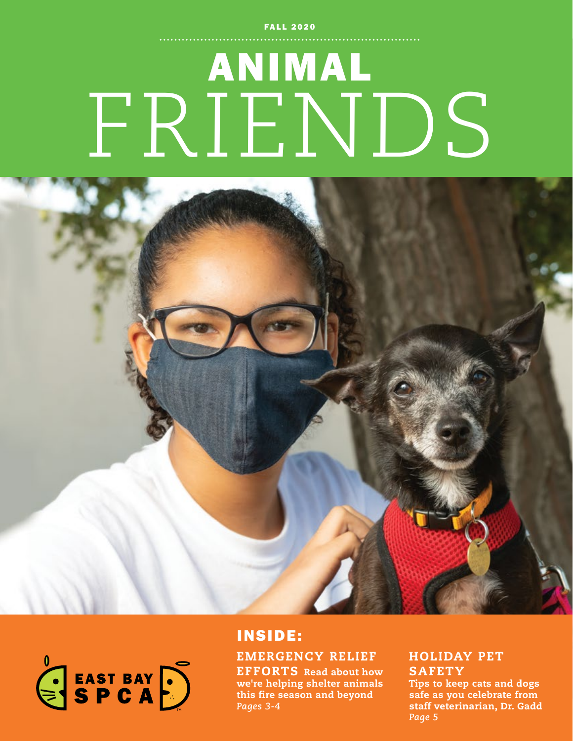**FALL 2020** 

# ANIMAL FRIENDS





### INSIDE:

### EMERGENCY RELIEF

EFFORTS Read about how we're helping shelter animals this fire season and beyond *Pages 3-4*

### HOLIDAY PET **SAFETY**

Tips to keep cats and dogs safe as you celebrate from staff veterinarian, Dr. Gadd *Page 5*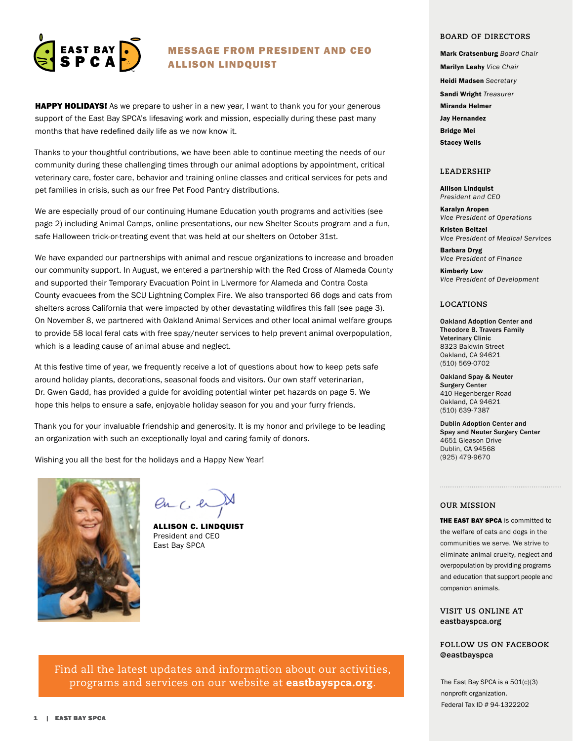

#### MESSAGE FROM PRESIDENT AND CEO ALLISON LINDQUIST

**HAPPY HOLIDAYS!** As we prepare to usher in a new year, I want to thank you for your generous support of the East Bay SPCA's lifesaving work and mission, especially during these past many months that have redefined daily life as we now know it.

Thanks to your thoughtful contributions, we have been able to continue meeting the needs of our community during these challenging times through our animal adoptions by appointment, critical veterinary care, foster care, behavior and training online classes and critical services for pets and pet families in crisis, such as our free Pet Food Pantry distributions.

We are especially proud of our continuing Humane Education youth programs and activities (see page 2) including Animal Camps, online presentations, our new Shelter Scouts program and a fun, safe Halloween trick-or-treating event that was held at our shelters on October 31st.

We have expanded our partnerships with animal and rescue organizations to increase and broaden our community support. In August, we entered a partnership with the Red Cross of Alameda County and supported their Temporary Evacuation Point in Livermore for Alameda and Contra Costa County evacuees from the SCU Lightning Complex Fire. We also transported 66 dogs and cats from shelters across California that were impacted by other devastating wildfires this fall (see page 3). On November 8, we partnered with Oakland Animal Services and other local animal welfare groups to provide 58 local feral cats with free spay/neuter services to help prevent animal overpopulation, which is a leading cause of animal abuse and neglect.

At this festive time of year, we frequently receive a lot of questions about how to keep pets safe around holiday plants, decorations, seasonal foods and visitors. Our own staff veterinarian, Dr. Gwen Gadd, has provided a guide for avoiding potential winter pet hazards on page 5. We hope this helps to ensure a safe, enjoyable holiday season for you and your furry friends.

Thank you for your invaluable friendship and generosity. It is my honor and privilege to be leading an organization with such an exceptionally loyal and caring family of donors.

Wishing you all the best for the holidays and a Happy New Year!



 $enC$ 

ALLISON C. LINDQUIST President and CEO East Bay SPCA

Find all the latest updates and information about our activities, programs and services on our website at **eastbayspca.org**.

#### **BOARD OF DIRECTORS**

Mark Cratsenburg *Board Chair*  Marilyn Leahy *Vice Chair* Heidi Madsen *Secretary* Sandi Wright *Treasurer* Miranda Helmer Jay Hernandez Bridge Mei Stacey Wells

#### **LEADERSHIP**

Allison Lindquist *President and CEO*

Karalyn Aropen *Vice President of Operations*

Kristen Beitzel *Vice President of Medical Services*

Barbara Dryg *Vice President of Finance*

Kimberly Low *Vice President of Development*

#### **LOCATIONS**

Oakland Adoption Center and Theodore B. Travers Family Veterinary Clinic 8323 Baldwin Street Oakland, CA 94621 (510) 569-0702

Oakland Spay & Neuter Surgery Center 410 Hegenberger Road Oakland, CA 94621 (510) 639-7387

Dublin Adoption Center and Spay and Neuter Surgery Center 4651 Gleason Drive Dublin, CA 94568 (925) 479-9670

#### **OUR MISSION**

THE EAST BAY SPCA is committed to the welfare of cats and dogs in the communities we serve. We strive to eliminate animal cruelty, neglect and overpopulation by providing programs and education that support people and companion animals.

**VISIT US ONLINE AT** eastbayspca.org

#### **FOLLOW US ON FACEBOOK @**eastbayspca

The East Bay SPCA is a 501(c)(3) nonprofit organization. Federal Tax ID # 94-1322202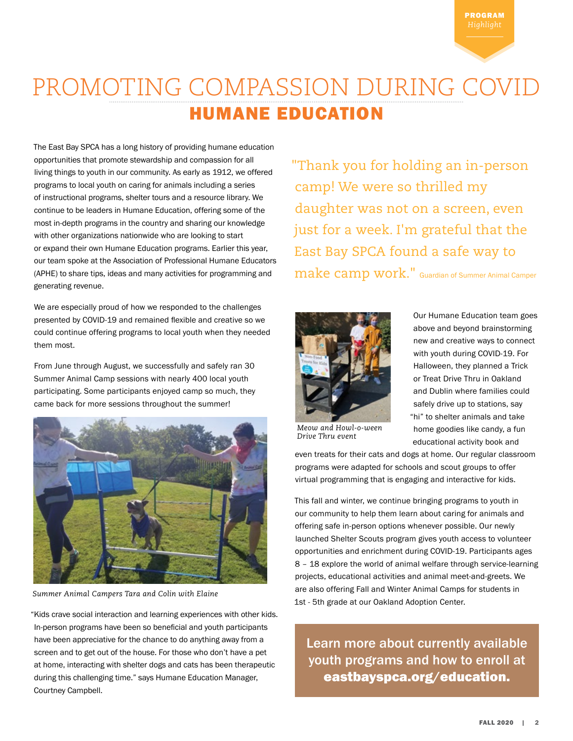# PROMOTING COMPASSION DURING COVID HUMANE EDUCATION

The East Bay SPCA has a long history of providing humane education opportunities that promote stewardship and compassion for all living things to youth in our community. As early as 1912, we offered programs to local youth on caring for animals including a series of instructional programs, shelter tours and a resource library. We continue to be leaders in Humane Education, offering some of the most in-depth programs in the country and sharing our knowledge with other organizations nationwide who are looking to start or expand their own Humane Education programs. Earlier this year, our team spoke at the Association of Professional Humane Educators (APHE) to share tips, ideas and many activities for programming and generating revenue.

We are especially proud of how we responded to the challenges presented by COVID-19 and remained flexible and creative so we could continue offering programs to local youth when they needed them most.

From June through August, we successfully and safely ran 30 Summer Animal Camp sessions with nearly 400 local youth participating. Some participants enjoyed camp so much, they came back for more sessions throughout the summer!



*Summer Animal Campers Tara and Colin with Elaine*

"Kids crave social interaction and learning experiences with other kids. In-person programs have been so beneficial and youth participants have been appreciative for the chance to do anything away from a screen and to get out of the house. For those who don't have a pet at home, interacting with shelter dogs and cats has been therapeutic during this challenging time." says Humane Education Manager, Courtney Campbell.

"Thank you for holding an in-person camp! We were so thrilled my daughter was not on a screen, even just for a week. I'm grateful that the East Bay SPCA found a safe way to make camp work." Guardian of Summer Animal Camper



Our Humane Education team goes above and beyond brainstorming new and creative ways to connect with youth during COVID-19. For Halloween, they planned a Trick or Treat Drive Thru in Oakland and Dublin where families could safely drive up to stations, say "hi" to shelter animals and take home goodies like candy, a fun educational activity book and

*Meow and Howl-o-ween Drive Thru event*

even treats for their cats and dogs at home. Our regular classroom programs were adapted for schools and scout groups to offer virtual programming that is engaging and interactive for kids.

This fall and winter, we continue bringing programs to youth in our community to help them learn about caring for animals and offering safe in-person options whenever possible. Our newly launched Shelter Scouts program gives youth access to volunteer opportunities and enrichment during COVID-19. Participants ages 8 – 18 explore the world of animal welfare through service-learning projects, educational activities and animal meet-and-greets. We are also offering Fall and Winter Animal Camps for students in 1st - 5th grade at our Oakland Adoption Center.

Learn more about currently available youth programs and how to enroll at eastbayspca.org/education.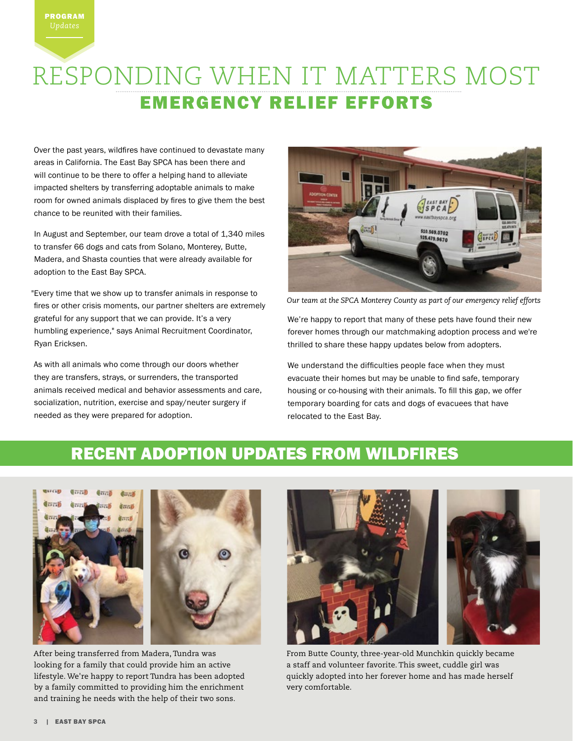

Over the past years, wildfires have continued to devastate many areas in California. The East Bay SPCA has been there and will continue to be there to offer a helping hand to alleviate impacted shelters by transferring adoptable animals to make room for owned animals displaced by fires to give them the best chance to be reunited with their families.

In August and September, our team drove a total of 1,340 miles to transfer 66 dogs and cats from Solano, Monterey, Butte, Madera, and Shasta counties that were already available for adoption to the East Bay SPCA.

"Every time that we show up to transfer animals in response to fires or other crisis moments, our partner shelters are extremely grateful for any support that we can provide. It's a very humbling experience," says Animal Recruitment Coordinator, Ryan Ericksen.

As with all animals who come through our doors whether they are transfers, strays, or surrenders, the transported animals received medical and behavior assessments and care, socialization, nutrition, exercise and spay/neuter surgery if needed as they were prepared for adoption.



*Our team at the SPCA Monterey County as part of our emergency relief efforts* 

We're happy to report that many of these pets have found their new forever homes through our matchmaking adoption process and we're thrilled to share these happy updates below from adopters.

We understand the difficulties people face when they must evacuate their homes but may be unable to find safe, temporary housing or co-housing with their animals. To fill this gap, we offer temporary boarding for cats and dogs of evacuees that have relocated to the East Bay.

### RECENT ADOPTION UPDATES FROM WILDFIRES



After being transferred from Madera, Tundra was looking for a family that could provide him an active lifestyle. We're happy to report Tundra has been adopted by a family committed to providing him the enrichment and training he needs with the help of their two sons.



From Butte County, three-year-old Munchkin quickly became a staff and volunteer favorite. This sweet, cuddle girl was quickly adopted into her forever home and has made herself very comfortable.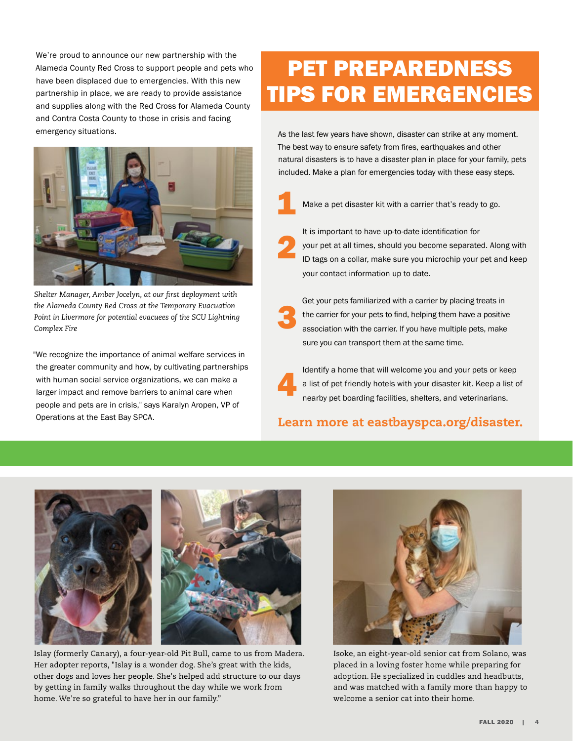We're proud to announce our new partnership with the Alameda County Red Cross to support people and pets who have been displaced due to emergencies. With this new partnership in place, we are ready to provide assistance and supplies along with the Red Cross for Alameda County and Contra Costa County to those in crisis and facing emergency situations.



*Shelter Manager, Amber Jocelyn, at our first deployment with the Alameda County Red Cross at the Temporary Evacuation Point in Livermore for potential evacuees of the SCU Lightning Complex Fire*

"We recognize the importance of animal welfare services in the greater community and how, by cultivating partnerships with human social service organizations, we can make a larger impact and remove barriers to animal care when people and pets are in crisis," says Karalyn Aropen, VP of Operations at the East Bay SPCA.

# PET PREPAREDNESS TIPS FOR EMERGENCIES

As the last few years have shown, disaster can strike at any moment. The best way to ensure safety from fires, earthquakes and other natural disasters is to have a disaster plan in place for your family, pets included. Make a plan for emergencies today with these easy steps.



Make a pet disaster kit with a carrier that's ready to go.

It is important to have up-to-date identification for

2

3

your pet at all times, should you become separated. Along with ID tags on a collar, make sure you microchip your pet and keep your contact information up to date.

Get your pets familiarized with a carrier by placing treats in the carrier for your pets to find, helping them have a positive association with the carrier. If you have multiple pets, make sure you can transport them at the same time.

Identify a home that will welcome you and your pets or keep a list of pet friendly hotels with your disaster kit. Keep a list of nearby pet boarding facilities, shelters, and veterinarians. 4

### Learn more at eastbayspca.org/disaster.



Islay (formerly Canary), a four-year-old Pit Bull, came to us from Madera. Her adopter reports, "Islay is a wonder dog. She's great with the kids, other dogs and loves her people. She's helped add structure to our days by getting in family walks throughout the day while we work from home. We're so grateful to have her in our family."



Isoke, an eight-year-old senior cat from Solano, was placed in a loving foster home while preparing for adoption. He specialized in cuddles and headbutts, and was matched with a family more than happy to welcome a senior cat into their home.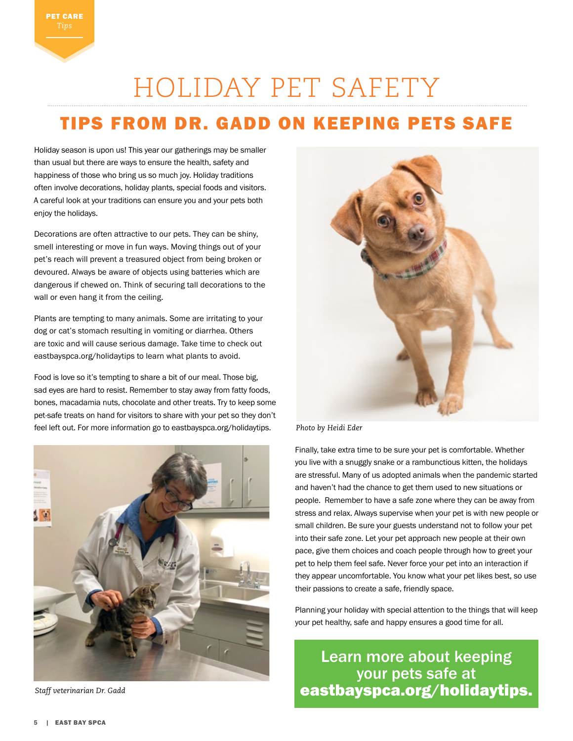# HOLIDAY PET SAFETY

### TIPS FROM DR. GADD ON KEEPING PETS SAFE

Holiday season is upon us! This year our gatherings may be smaller than usual but there are ways to ensure the health, safety and happiness of those who bring us so much joy. Holiday traditions often involve decorations, holiday plants, special foods and visitors. A careful look at your traditions can ensure you and your pets both enjoy the holidays.

Decorations are often attractive to our pets. They can be shiny, smell interesting or move in fun ways. Moving things out of your pet's reach will prevent a treasured object from being broken or devoured. Always be aware of objects using batteries which are dangerous if chewed on. Think of securing tall decorations to the wall or even hang it from the ceiling.

Plants are tempting to many animals. Some are irritating to your dog or cat's stomach resulting in vomiting or diarrhea. Others are toxic and will cause serious damage. Take time to check out eastbayspca.org/holidaytips to learn what plants to avoid.

Food is love so it's tempting to share a bit of our meal. Those big, sad eyes are hard to resist. Remember to stay away from fatty foods, bones, macadamia nuts, chocolate and other treats. Try to keep some pet-safe treats on hand for visitors to share with your pet so they don't feel left out. For more information go to eastbayspca.org/holidaytips.



*Staff veterinarian Dr. Gadd* 



*Photo by Heidi Eder*

Finally, take extra time to be sure your pet is comfortable. Whether you live with a snuggly snake or a rambunctious kitten, the holidays are stressful. Many of us adopted animals when the pandemic started and haven't had the chance to get them used to new situations or people. Remember to have a safe zone where they can be away from stress and relax. Always supervise when your pet is with new people or small children. Be sure your guests understand not to follow your pet into their safe zone. Let your pet approach new people at their own pace, give them choices and coach people through how to greet your pet to help them feel safe. Never force your pet into an interaction if they appear uncomfortable. You know what your pet likes best, so use their passions to create a safe, friendly space.

Planning your holiday with special attention to the things that will keep your pet healthy, safe and happy ensures a good time for all.

Learn more about keeping your pets safe at eastbayspca.org/holidaytips.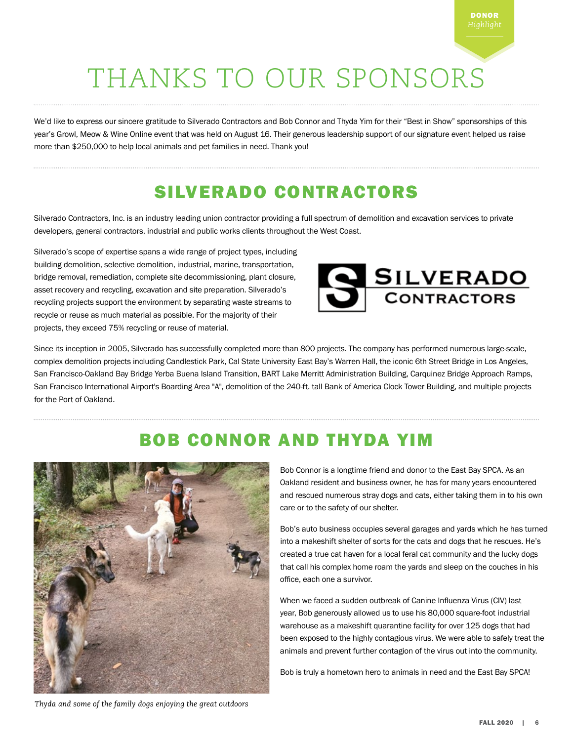# THANKS TO OUR SPONSORS

We'd like to express our sincere gratitude to Silverado Contractors and Bob Connor and Thyda Yim for their "Best in Show" sponsorships of this year's Growl, Meow & Wine Online event that was held on August 16. Their generous leadership support of our signature event helped us raise more than \$250,000 to help local animals and pet families in need. Thank you!

### SILVERADO CONTRACTORS

Silverado Contractors, Inc. is an industry leading union contractor providing a full spectrum of demolition and excavation services to private developers, general contractors, industrial and public works clients throughout the West Coast.

Silverado's scope of expertise spans a wide range of project types, including building demolition, selective demolition, industrial, marine, transportation, bridge removal, remediation, complete site decommissioning, plant closure, asset recovery and recycling, excavation and site preparation. Silverado's recycling projects support the environment by separating waste streams to recycle or reuse as much material as possible. For the majority of their projects, they exceed 75% recycling or reuse of material.



Since its inception in 2005, Silverado has successfully completed more than 800 projects. The company has performed numerous large-scale, complex demolition projects including Candlestick Park, Cal State University East Bay's Warren Hall, the iconic 6th Street Bridge in Los Angeles, San Francisco-Oakland Bay Bridge Yerba Buena Island Transition, BART Lake Merritt Administration Building, Carquinez Bridge Approach Ramps, San Francisco International Airport's Boarding Area "A", demolition of the 240-ft. tall Bank of America Clock Tower Building, and multiple projects for the Port of Oakland.

### BOB CONNOR AND THYDA YIM



Bob Connor is a longtime friend and donor to the East Bay SPCA. As an Oakland resident and business owner, he has for many years encountered and rescued numerous stray dogs and cats, either taking them in to his own care or to the safety of our shelter.

Bob's auto business occupies several garages and yards which he has turned into a makeshift shelter of sorts for the cats and dogs that he rescues. He's created a true cat haven for a local feral cat community and the lucky dogs that call his complex home roam the yards and sleep on the couches in his office, each one a survivor.

When we faced a sudden outbreak of Canine Influenza Virus (CIV) last year, Bob generously allowed us to use his 80,000 square-foot industrial warehouse as a makeshift quarantine facility for over 125 dogs that had been exposed to the highly contagious virus. We were able to safely treat the animals and prevent further contagion of the virus out into the community.

Bob is truly a hometown hero to animals in need and the East Bay SPCA!

*Thyda and some of the family dogs enjoying the great outdoors*